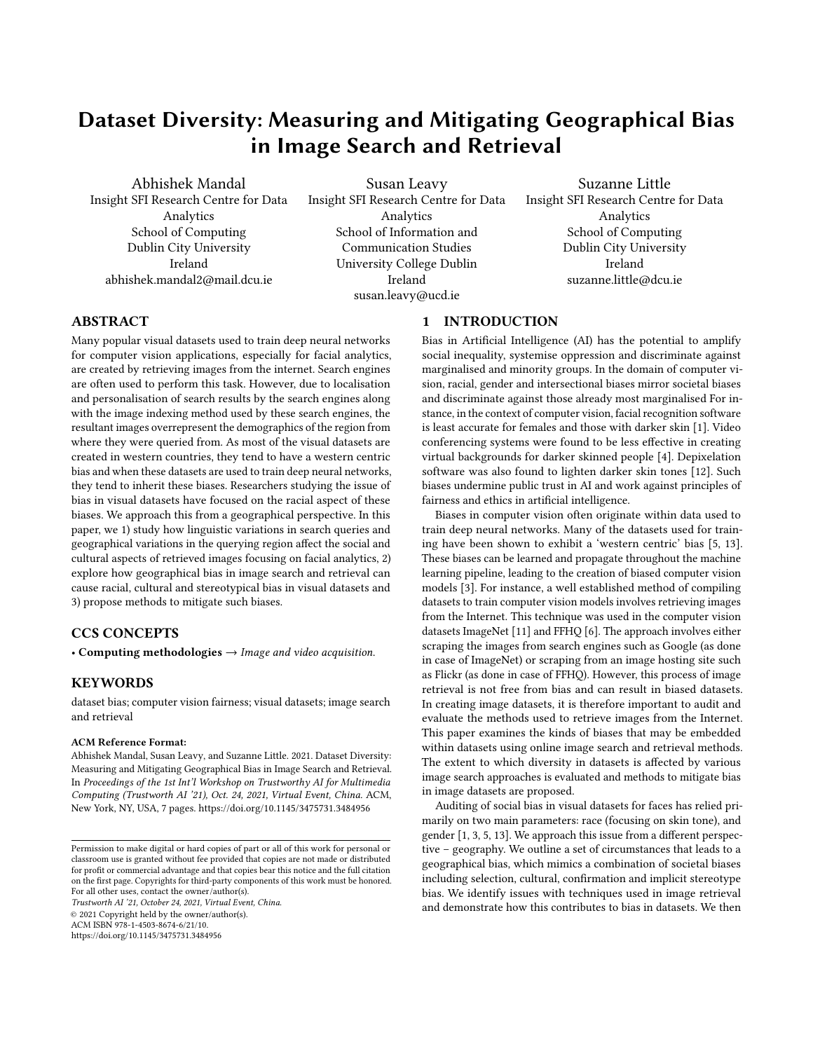# Dataset Diversity: Measuring and Mitigating Geographical Bias in Image Search and Retrieval

Abhishek Mandal Insight SFI Research Centre for Data Analytics School of Computing Dublin City University Ireland abhishek.mandal2@mail.dcu.ie

Susan Leavy Insight SFI Research Centre for Data Analytics School of Information and Communication Studies University College Dublin Ireland susan.leavy@ucd.ie

Suzanne Little Insight SFI Research Centre for Data Analytics School of Computing Dublin City University Ireland suzanne.little@dcu.ie

# ABSTRACT

Many popular visual datasets used to train deep neural networks for computer vision applications, especially for facial analytics, are created by retrieving images from the internet. Search engines are often used to perform this task. However, due to localisation and personalisation of search results by the search engines along with the image indexing method used by these search engines, the resultant images overrepresent the demographics of the region from where they were queried from. As most of the visual datasets are created in western countries, they tend to have a western centric bias and when these datasets are used to train deep neural networks, they tend to inherit these biases. Researchers studying the issue of bias in visual datasets have focused on the racial aspect of these biases. We approach this from a geographical perspective. In this paper, we 1) study how linguistic variations in search queries and geographical variations in the querying region affect the social and cultural aspects of retrieved images focusing on facial analytics, 2) explore how geographical bias in image search and retrieval can cause racial, cultural and stereotypical bias in visual datasets and 3) propose methods to mitigate such biases.

# CCS CONCEPTS

• Computing methodologies  $\rightarrow$  Image and video acquisition.

## **KEYWORDS**

dataset bias; computer vision fairness; visual datasets; image search and retrieval

#### ACM Reference Format:

Abhishek Mandal, Susan Leavy, and Suzanne Little. 2021. Dataset Diversity: Measuring and Mitigating Geographical Bias in Image Search and Retrieval. In Proceedings of the 1st Int'l Workshop on Trustworthy AI for Multimedia Computing (Trustworth AI '21), Oct. 24, 2021, Virtual Event, China. ACM, New York, NY, USA, [7](#page-6-0) pages.<https://doi.org/10.1145/3475731.3484956>

Trustworth AI '21, October 24, 2021, Virtual Event, China. © 2021 Copyright held by the owner/author(s). ACM ISBN 978-1-4503-8674-6/21/10.

<https://doi.org/10.1145/3475731.3484956>

## 1 INTRODUCTION

Bias in Artificial Intelligence (AI) has the potential to amplify social inequality, systemise oppression and discriminate against marginalised and minority groups. In the domain of computer vision, racial, gender and intersectional biases mirror societal biases and discriminate against those already most marginalised For instance, in the context of computer vision, facial recognition software is least accurate for females and those with darker skin [\[1\]](#page-6-1). Video conferencing systems were found to be less effective in creating virtual backgrounds for darker skinned people [\[4\]](#page-6-2). Depixelation software was also found to lighten darker skin tones [\[12\]](#page-6-3). Such biases undermine public trust in AI and work against principles of fairness and ethics in artificial intelligence.

Biases in computer vision often originate within data used to train deep neural networks. Many of the datasets used for training have been shown to exhibit a 'western centric' bias [\[5,](#page-6-4) [13\]](#page-6-5). These biases can be learned and propagate throughout the machine learning pipeline, leading to the creation of biased computer vision models [\[3\]](#page-6-6). For instance, a well established method of compiling datasets to train computer vision models involves retrieving images from the Internet. This technique was used in the computer vision datasets ImageNet [\[11\]](#page-6-7) and FFHQ [\[6\]](#page-6-8). The approach involves either scraping the images from search engines such as Google (as done in case of ImageNet) or scraping from an image hosting site such as Flickr (as done in case of FFHQ). However, this process of image retrieval is not free from bias and can result in biased datasets. In creating image datasets, it is therefore important to audit and evaluate the methods used to retrieve images from the Internet. This paper examines the kinds of biases that may be embedded within datasets using online image search and retrieval methods. The extent to which diversity in datasets is affected by various image search approaches is evaluated and methods to mitigate bias in image datasets are proposed.

Auditing of social bias in visual datasets for faces has relied primarily on two main parameters: race (focusing on skin tone), and gender [\[1,](#page-6-1) [3,](#page-6-6) [5,](#page-6-4) [13\]](#page-6-5). We approach this issue from a different perspective – geography. We outline a set of circumstances that leads to a geographical bias, which mimics a combination of societal biases including selection, cultural, confirmation and implicit stereotype bias. We identify issues with techniques used in image retrieval and demonstrate how this contributes to bias in datasets. We then

Permission to make digital or hard copies of part or all of this work for personal or classroom use is granted without fee provided that copies are not made or distributed for profit or commercial advantage and that copies bear this notice and the full citation on the first page. Copyrights for third-party components of this work must be honored. For all other uses, contact the owner/author(s).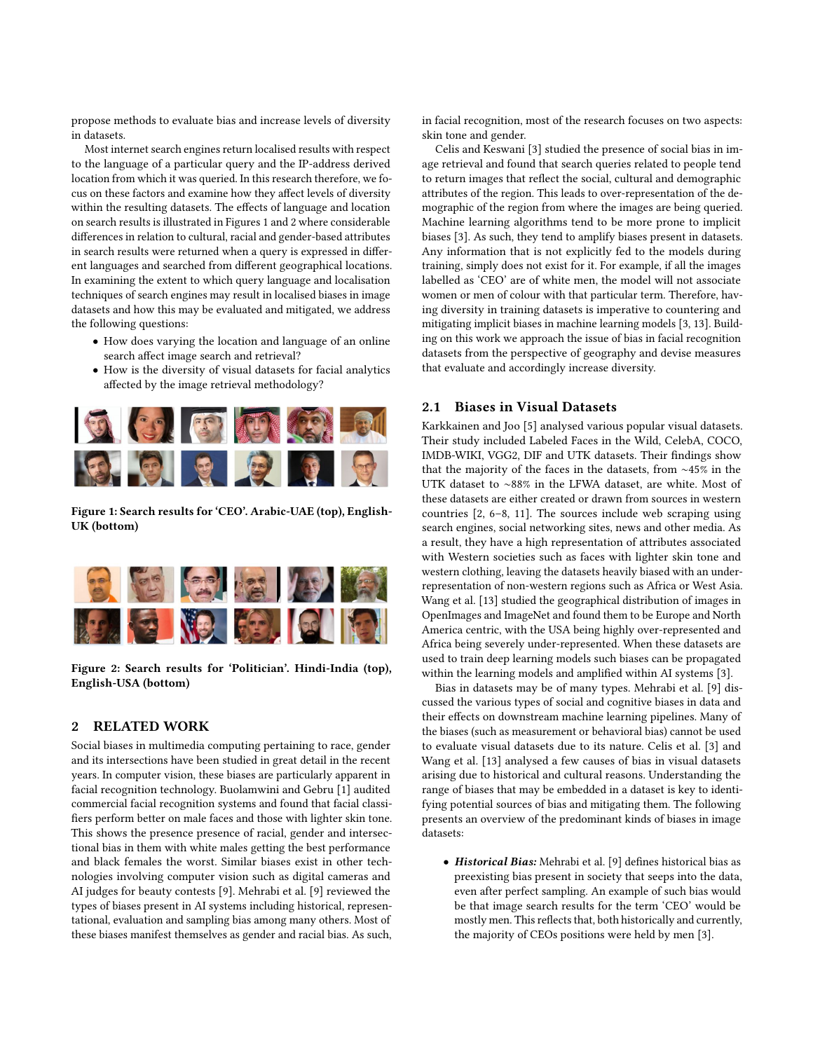propose methods to evaluate bias and increase levels of diversity in datasets.

Most internet search engines return localised results with respect to the language of a particular query and the IP-address derived location from which it was queried. In this research therefore, we focus on these factors and examine how they affect levels of diversity within the resulting datasets. The effects of language and location on search results is illustrated in Figures [1](#page-1-0) and [2](#page-1-1) where considerable differences in relation to cultural, racial and gender-based attributes in search results were returned when a query is expressed in different languages and searched from different geographical locations. In examining the extent to which query language and localisation techniques of search engines may result in localised biases in image datasets and how this may be evaluated and mitigated, we address the following questions:

- How does varying the location and language of an online search affect image search and retrieval?
- How is the diversity of visual datasets for facial analytics affected by the image retrieval methodology?

<span id="page-1-0"></span>

Figure 1: Search results for 'CEO'. Arabic-UAE (top), English-UK (bottom)

<span id="page-1-1"></span>

Figure 2: Search results for 'Politician'. Hindi-India (top), English-USA (bottom)

# 2 RELATED WORK

Social biases in multimedia computing pertaining to race, gender and its intersections have been studied in great detail in the recent years. In computer vision, these biases are particularly apparent in facial recognition technology. Buolamwini and Gebru [\[1\]](#page-6-1) audited commercial facial recognition systems and found that facial classifiers perform better on male faces and those with lighter skin tone. This shows the presence presence of racial, gender and intersectional bias in them with white males getting the best performance and black females the worst. Similar biases exist in other technologies involving computer vision such as digital cameras and AI judges for beauty contests [\[9\]](#page-6-9). Mehrabi et al. [\[9\]](#page-6-9) reviewed the types of biases present in AI systems including historical, representational, evaluation and sampling bias among many others. Most of these biases manifest themselves as gender and racial bias. As such, in facial recognition, most of the research focuses on two aspects: skin tone and gender.

Celis and Keswani [\[3\]](#page-6-6) studied the presence of social bias in image retrieval and found that search queries related to people tend to return images that reflect the social, cultural and demographic attributes of the region. This leads to over-representation of the demographic of the region from where the images are being queried. Machine learning algorithms tend to be more prone to implicit biases [\[3\]](#page-6-6). As such, they tend to amplify biases present in datasets. Any information that is not explicitly fed to the models during training, simply does not exist for it. For example, if all the images labelled as 'CEO' are of white men, the model will not associate women or men of colour with that particular term. Therefore, having diversity in training datasets is imperative to countering and mitigating implicit biases in machine learning models [\[3,](#page-6-6) [13\]](#page-6-5). Building on this work we approach the issue of bias in facial recognition datasets from the perspective of geography and devise measures that evaluate and accordingly increase diversity.

## 2.1 Biases in Visual Datasets

Karkkainen and Joo [\[5\]](#page-6-4) analysed various popular visual datasets. Their study included Labeled Faces in the Wild, CelebA, COCO, IMDB-WIKI, VGG2, DIF and UTK datasets. Their findings show that the majority of the faces in the datasets, from ∼45% in the UTK dataset to ∼88% in the LFWA dataset, are white. Most of these datasets are either created or drawn from sources in western countries [\[2,](#page-6-10) [6–](#page-6-8)[8,](#page-6-11) [11\]](#page-6-7). The sources include web scraping using search engines, social networking sites, news and other media. As a result, they have a high representation of attributes associated with Western societies such as faces with lighter skin tone and western clothing, leaving the datasets heavily biased with an underrepresentation of non-western regions such as Africa or West Asia. Wang et al. [\[13\]](#page-6-5) studied the geographical distribution of images in OpenImages and ImageNet and found them to be Europe and North America centric, with the USA being highly over-represented and Africa being severely under-represented. When these datasets are used to train deep learning models such biases can be propagated within the learning models and amplified within AI systems [\[3\]](#page-6-6).

Bias in datasets may be of many types. Mehrabi et al. [\[9\]](#page-6-9) discussed the various types of social and cognitive biases in data and their effects on downstream machine learning pipelines. Many of the biases (such as measurement or behavioral bias) cannot be used to evaluate visual datasets due to its nature. Celis et al. [\[3\]](#page-6-6) and Wang et al. [\[13\]](#page-6-5) analysed a few causes of bias in visual datasets arising due to historical and cultural reasons. Understanding the range of biases that may be embedded in a dataset is key to identifying potential sources of bias and mitigating them. The following presents an overview of the predominant kinds of biases in image datasets:

• Historical Bias: Mehrabi et al. [\[9\]](#page-6-9) defines historical bias as preexisting bias present in society that seeps into the data, even after perfect sampling. An example of such bias would be that image search results for the term 'CEO' would be mostly men. This reflects that, both historically and currently, the majority of CEOs positions were held by men [\[3\]](#page-6-6).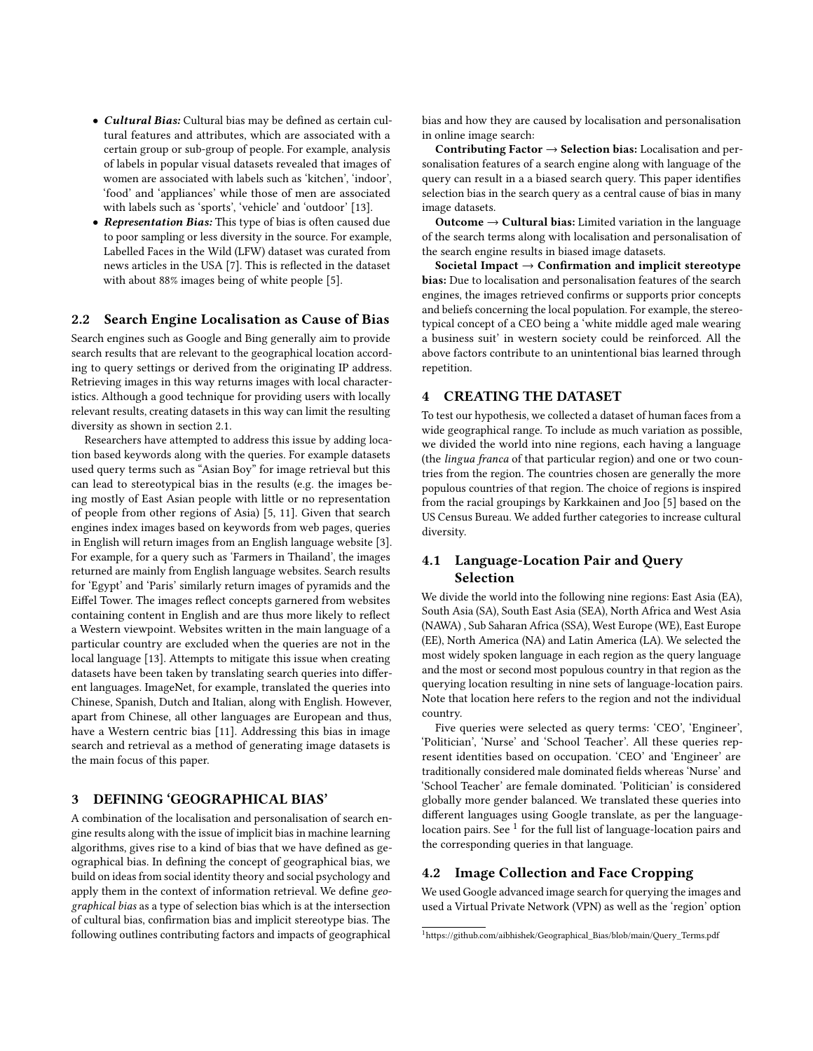- Cultural Bias: Cultural bias may be defined as certain cultural features and attributes, which are associated with a certain group or sub-group of people. For example, analysis of labels in popular visual datasets revealed that images of women are associated with labels such as 'kitchen', 'indoor', 'food' and 'appliances' while those of men are associated with labels such as 'sports', 'vehicle' and 'outdoor' [\[13\]](#page-6-5).
- Representation Bias: This type of bias is often caused due to poor sampling or less diversity in the source. For example, Labelled Faces in the Wild (LFW) dataset was curated from news articles in the USA [\[7\]](#page-6-12). This is reflected in the dataset with about 88% images being of white people [\[5\]](#page-6-4).

## 2.2 Search Engine Localisation as Cause of Bias

Search engines such as Google and Bing generally aim to provide search results that are relevant to the geographical location according to query settings or derived from the originating IP address. Retrieving images in this way returns images with local characteristics. Although a good technique for providing users with locally relevant results, creating datasets in this way can limit the resulting diversity as shown in section 2.1.

Researchers have attempted to address this issue by adding location based keywords along with the queries. For example datasets used query terms such as "Asian Boy" for image retrieval but this can lead to stereotypical bias in the results (e.g. the images being mostly of East Asian people with little or no representation of people from other regions of Asia) [\[5,](#page-6-4) [11\]](#page-6-7). Given that search engines index images based on keywords from web pages, queries in English will return images from an English language website [\[3\]](#page-6-6). For example, for a query such as 'Farmers in Thailand', the images returned are mainly from English language websites. Search results for 'Egypt' and 'Paris' similarly return images of pyramids and the Eiffel Tower. The images reflect concepts garnered from websites containing content in English and are thus more likely to reflect a Western viewpoint. Websites written in the main language of a particular country are excluded when the queries are not in the local language [\[13\]](#page-6-5). Attempts to mitigate this issue when creating datasets have been taken by translating search queries into different languages. ImageNet, for example, translated the queries into Chinese, Spanish, Dutch and Italian, along with English. However, apart from Chinese, all other languages are European and thus, have a Western centric bias [\[11\]](#page-6-7). Addressing this bias in image search and retrieval as a method of generating image datasets is the main focus of this paper.

## 3 DEFINING 'GEOGRAPHICAL BIAS'

A combination of the localisation and personalisation of search engine results along with the issue of implicit bias in machine learning algorithms, gives rise to a kind of bias that we have defined as geographical bias. In defining the concept of geographical bias, we build on ideas from social identity theory and social psychology and apply them in the context of information retrieval. We define geographical bias as a type of selection bias which is at the intersection of cultural bias, confirmation bias and implicit stereotype bias. The following outlines contributing factors and impacts of geographical

bias and how they are caused by localisation and personalisation in online image search:

Contributing Factor  $\rightarrow$  Selection bias: Localisation and personalisation features of a search engine along with language of the query can result in a a biased search query. This paper identifies selection bias in the search query as a central cause of bias in many image datasets.

Outcome  $\rightarrow$  Cultural bias: Limited variation in the language of the search terms along with localisation and personalisation of the search engine results in biased image datasets.

Societal Impact  $\rightarrow$  Confirmation and implicit stereotype bias: Due to localisation and personalisation features of the search engines, the images retrieved confirms or supports prior concepts and beliefs concerning the local population. For example, the stereotypical concept of a CEO being a 'white middle aged male wearing a business suit' in western society could be reinforced. All the above factors contribute to an unintentional bias learned through repetition.

### 4 CREATING THE DATASET

To test our hypothesis, we collected a dataset of human faces from a wide geographical range. To include as much variation as possible, we divided the world into nine regions, each having a language (the lingua franca of that particular region) and one or two countries from the region. The countries chosen are generally the more populous countries of that region. The choice of regions is inspired from the racial groupings by Karkkainen and Joo [\[5\]](#page-6-4) based on the US Census Bureau. We added further categories to increase cultural diversity.

# 4.1 Language-Location Pair and Query Selection

We divide the world into the following nine regions: East Asia (EA), South Asia (SA), South East Asia (SEA), North Africa and West Asia (NAWA) , Sub Saharan Africa (SSA), West Europe (WE), East Europe (EE), North America (NA) and Latin America (LA). We selected the most widely spoken language in each region as the query language and the most or second most populous country in that region as the querying location resulting in nine sets of language-location pairs. Note that location here refers to the region and not the individual country.

Five queries were selected as query terms: 'CEO', 'Engineer', 'Politician', 'Nurse' and 'School Teacher'. All these queries represent identities based on occupation. 'CEO' and 'Engineer' are traditionally considered male dominated fields whereas 'Nurse' and 'School Teacher' are female dominated. 'Politician' is considered globally more gender balanced. We translated these queries into different languages using Google translate, as per the languagelocation pairs. See  $^1$  $^1$  for the full list of language-location pairs and the corresponding queries in that language.

## 4.2 Image Collection and Face Cropping

We used Google advanced image search for querying the images and used a Virtual Private Network (VPN) as well as the 'region' option

<span id="page-2-0"></span><sup>1</sup>[https://github.com/aibhishek/Geographical\\_Bias/blob/main/Query\\_Terms.pdf](https://github.com/aibhishek/Geographical_Bias/blob/main/Query_Terms.pdf)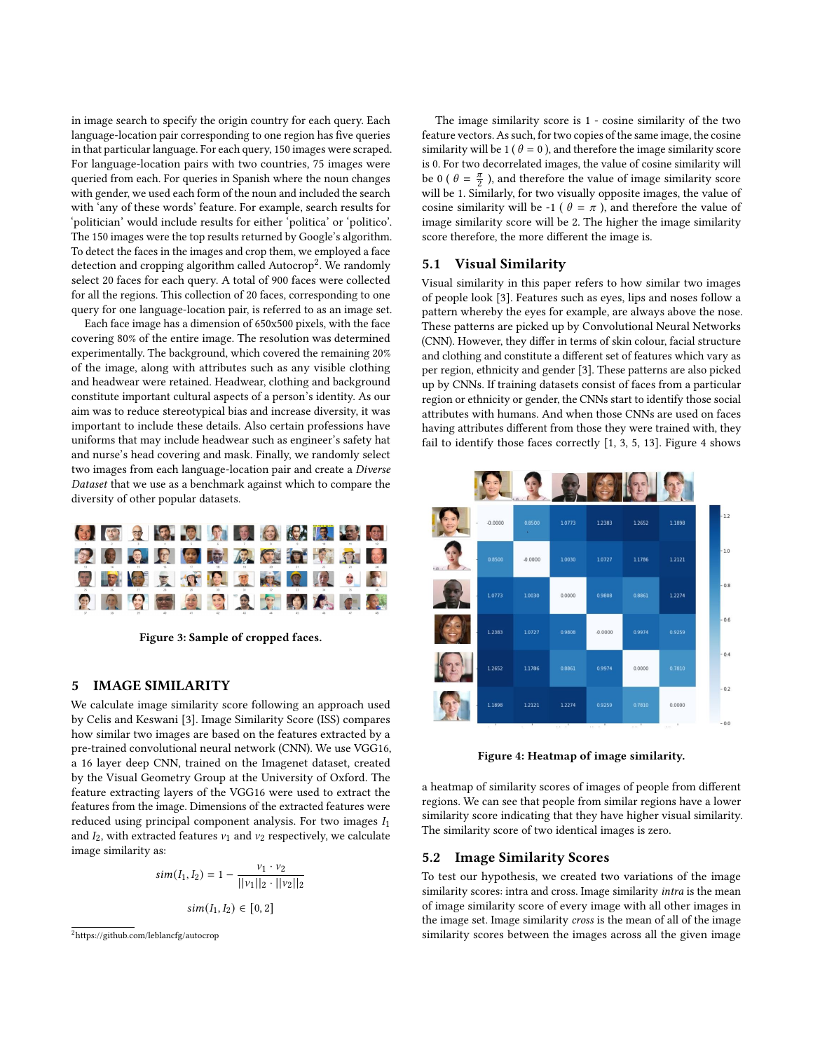in image search to specify the origin country for each query. Each language-location pair corresponding to one region has five queries in that particular language. For each query, 150 images were scraped. For language-location pairs with two countries, 75 images were queried from each. For queries in Spanish where the noun changes with gender, we used each form of the noun and included the search with 'any of these words' feature. For example, search results for 'politician' would include results for either 'politica' or 'politico'. The 150 images were the top results returned by Google's algorithm. To detect the faces in the images and crop them, we employed a face detection and cropping algorithm called Autocrop<sup>[2](#page-3-0)</sup>. We randomly select 20 faces for each query. A total of 900 faces were collected for all the regions. This collection of 20 faces, corresponding to one query for one language-location pair, is referred to as an image set.

Each face image has a dimension of 650x500 pixels, with the face covering 80% of the entire image. The resolution was determined experimentally. The background, which covered the remaining 20% of the image, along with attributes such as any visible clothing and headwear were retained. Headwear, clothing and background constitute important cultural aspects of a person's identity. As our aim was to reduce stereotypical bias and increase diversity, it was important to include these details. Also certain professions have uniforms that may include headwear such as engineer's safety hat and nurse's head covering and mask. Finally, we randomly select two images from each language-location pair and create a Diverse Dataset that we use as a benchmark against which to compare the diversity of other popular datasets.



Figure 3: Sample of cropped faces.

## 5 IMAGE SIMILARITY

We calculate image similarity score following an approach used by Celis and Keswani [\[3\]](#page-6-6). Image Similarity Score (ISS) compares how similar two images are based on the features extracted by a pre-trained convolutional neural network (CNN). We use VGG16, a 16 layer deep CNN, trained on the Imagenet dataset, created by the Visual Geometry Group at the University of Oxford. The feature extracting layers of the VGG16 were used to extract the features from the image. Dimensions of the extracted features were reduced using principal component analysis. For two images  $I_1$ and  $I_2$ , with extracted features  $v_1$  and  $v_2$  respectively, we calculate image similarity as:

$$
sim(I_1, I_2) = 1 - \frac{v_1 \cdot v_2}{||v_1||_2 \cdot ||v_2||_2}
$$

$$
sim(I_1, I_2) \in [0, 2]
$$

The image similarity score is 1 - cosine similarity of the two feature vectors. As such, for two copies of the same image, the cosine similarity will be 1 ( $\theta = 0$ ), and therefore the image similarity score is 0. For two decorrelated images, the value of cosine similarity will be 0 (  $\theta = \frac{\pi}{2}$  $\frac{\pi}{2}$  ), and therefore the value of image similarity score will be 1. Similarly, for two visually opposite images, the value of cosine similarity will be -1 ( $\theta = \pi$ ), and therefore the value of image similarity score will be 2. The higher the image similarity score therefore, the more different the image is.

## 5.1 Visual Similarity

Visual similarity in this paper refers to how similar two images of people look [\[3\]](#page-6-6). Features such as eyes, lips and noses follow a pattern whereby the eyes for example, are always above the nose. These patterns are picked up by Convolutional Neural Networks (CNN). However, they differ in terms of skin colour, facial structure and clothing and constitute a different set of features which vary as per region, ethnicity and gender [\[3\]](#page-6-6). These patterns are also picked up by CNNs. If training datasets consist of faces from a particular region or ethnicity or gender, the CNNs start to identify those social attributes with humans. And when those CNNs are used on faces having attributes different from those they were trained with, they fail to identify those faces correctly [\[1,](#page-6-1) [3,](#page-6-6) [5,](#page-6-4) [13\]](#page-6-5). Figure [4](#page-3-1) shows

<span id="page-3-1"></span>

Figure 4: Heatmap of image similarity.

a heatmap of similarity scores of images of people from different regions. We can see that people from similar regions have a lower similarity score indicating that they have higher visual similarity. The similarity score of two identical images is zero.

#### 5.2 Image Similarity Scores

To test our hypothesis, we created two variations of the image similarity scores: intra and cross. Image similarity intra is the mean of image similarity score of every image with all other images in the image set. Image similarity cross is the mean of all of the image similarity scores between the images across all the given image

<span id="page-3-0"></span><sup>2</sup><https://github.com/leblancfg/autocrop>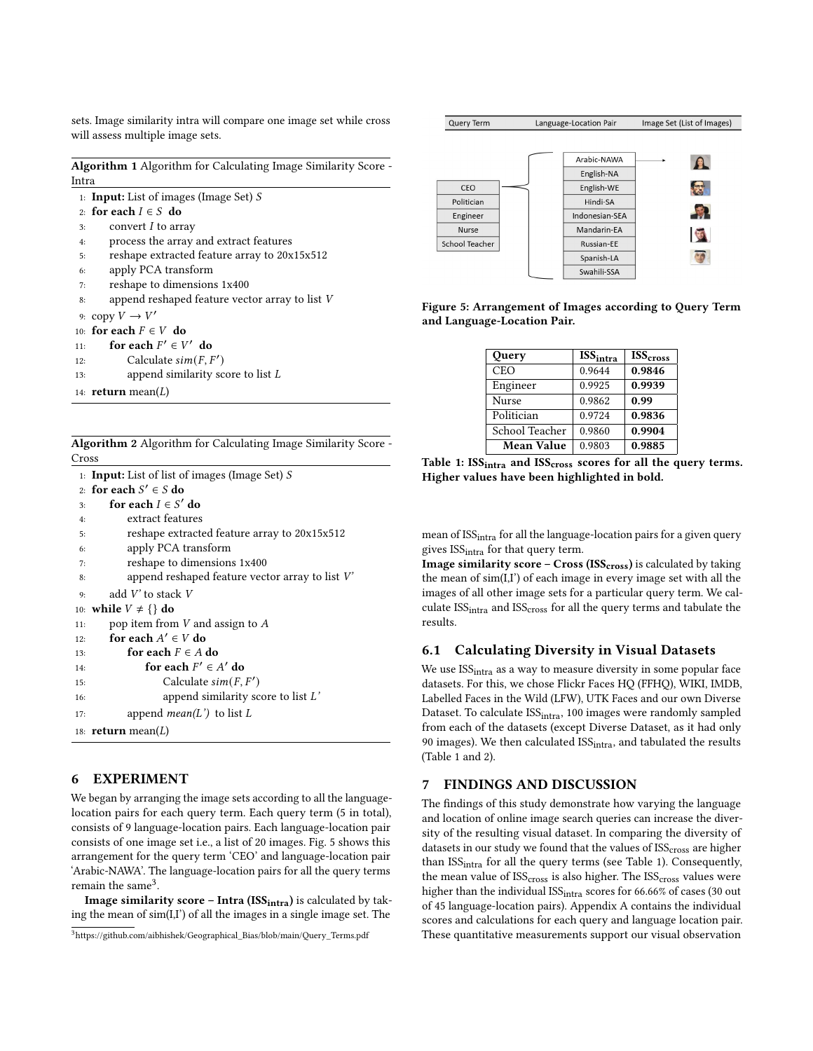sets. Image similarity intra will compare one image set while cross will assess multiple image sets.

Algorithm 1 Algorithm for Calculating Image Similarity Score - Intra

1: Input: List of images (Image Set) S 2: for each  $I \in S$  do 3: convert  $I$  to array 4: process the array and extract features 5: reshape extracted feature array to 20x15x512 6: apply PCA transform 7: reshape to dimensions 1x400 8: append reshaped feature vector array to list V 9: copy  $V \to V'$ 10: for each  $F \in V$  do 11: for each  $F' \in V'$  do 12: Calculate  $\textit{sim}(F, F')$ 13: append similarity score to list L 14: **return** mean $(L)$ 

|       | <b>Algorithm 2</b> Algorithm for Calculating Image Similarity Score - |  |  |
|-------|-----------------------------------------------------------------------|--|--|
| Cross |                                                                       |  |  |

|     | 1: <b>Input:</b> List of list of images (Image Set) $S$    |
|-----|------------------------------------------------------------|
|     | 2: for each $S' \in S$ do                                  |
| 3:  | for each $I \in S'$ do                                     |
| 4:  | extract features                                           |
| 5:  | reshape extracted feature array to 20x15x512               |
| 6:  | apply PCA transform                                        |
| 7:  | reshape to dimensions 1x400                                |
| 8:  | append reshaped feature vector array to list $V^{\dagger}$ |
| 9:  | add $V'$ to stack $V$                                      |
| 10: | while $V \neq \{\}$ do                                     |
| 11: | pop item from V and assign to A                            |
| 12: | for each $A' \in V$ do                                     |
| 13: | for each $F \in A$ do                                      |
| 14: | for each $F' \in A'$ do                                    |
| 15: | Calculate $sim(F, F')$                                     |
| 16: | append similarity score to list $L'$                       |
| 17: | append <i>mean</i> ( $L'$ ) to list $L$                    |
|     | 18: <b>return</b> mean( $L$ )                              |

# 6 EXPERIMENT

We began by arranging the image sets according to all the languagelocation pairs for each query term. Each query term (5 in total), consists of 9 language-location pairs. Each language-location pair consists of one image set i.e., a list of 20 images. Fig. 5 shows this arrangement for the query term 'CEO' and language-location pair 'Arabic-NAWA'. The language-location pairs for all the query terms remain the same<sup>[3](#page-4-0)</sup>.

Image similarity score – Intra (ISS $_{intra}$ ) is calculated by taking the mean of sim(I,I') of all the images in a single image set. The



<span id="page-4-1"></span>Figure 5: Arrangement of Images according to Query Term and Language-Location Pair.

| Query          | ISS <sub>intra</sub> | <b>ISS</b> cross |
|----------------|----------------------|------------------|
| <b>CEO</b>     | 0.9644               | 0.9846           |
| Engineer       | 0.9925               | 0.9939           |
| <b>Nurse</b>   | 0.9862               | 0.99             |
| Politician     | 0.9724               | 0.9836           |
| School Teacher | 0.9860               | 0.9904           |
| Mean Value     | 0.9803               | 0.9885           |

Table 1: ISS<sub>intra</sub> and ISS<sub>cross</sub> scores for all the query terms. Higher values have been highlighted in bold.

mean of ISS<sub>intra</sub> for all the language-location pairs for a given query gives  $ISS<sub>intra</sub>$  for that query term.

Image similarity score –  $Cross (ISS<sub>cross</sub>)$  is calculated by taking the mean of sim(I,I') of each image in every image set with all the images of all other image sets for a particular query term. We calculate  $ISS<sub>intra</sub>$  and  $ISS<sub>cross</sub>$  for all the query terms and tabulate the results.

#### 6.1 Calculating Diversity in Visual Datasets

We use ISS<sub>intra</sub> as a way to measure diversity in some popular face datasets. For this, we chose Flickr Faces HQ (FFHQ), WIKI, IMDB, Labelled Faces in the Wild (LFW), UTK Faces and our own Diverse Dataset. To calculate ISS<sub>intra</sub>, 100 images were randomly sampled from each of the datasets (except Diverse Dataset, as it had only 90 images). We then calculated  $ISS<sub>intra</sub>$ , and tabulated the results (Table [1](#page-4-1) and [2\)](#page-5-0).

#### 7 FINDINGS AND DISCUSSION

The findings of this study demonstrate how varying the language and location of online image search queries can increase the diversity of the resulting visual dataset. In comparing the diversity of datasets in our study we found that the values of ISS<sub>cross</sub> are higher than ISS<sub>intra</sub> for all the query terms (see Table [1\)](#page-4-1). Consequently, the mean value of  $ISS<sub>cross</sub>$  is also higher. The  $ISS<sub>cross</sub>$  values were higher than the individual ISS<sub>intra</sub> scores for 66.66% of cases (30 out of 45 language-location pairs). Appendix A contains the individual scores and calculations for each query and language location pair. These quantitative measurements support our visual observation

<span id="page-4-0"></span><sup>3</sup>[https://github.com/aibhishek/Geographical\\_Bias/blob/main/Query\\_Terms.pdf](https://github.com/aibhishek/Geographical_Bias/blob/main/Query_Terms.pdf)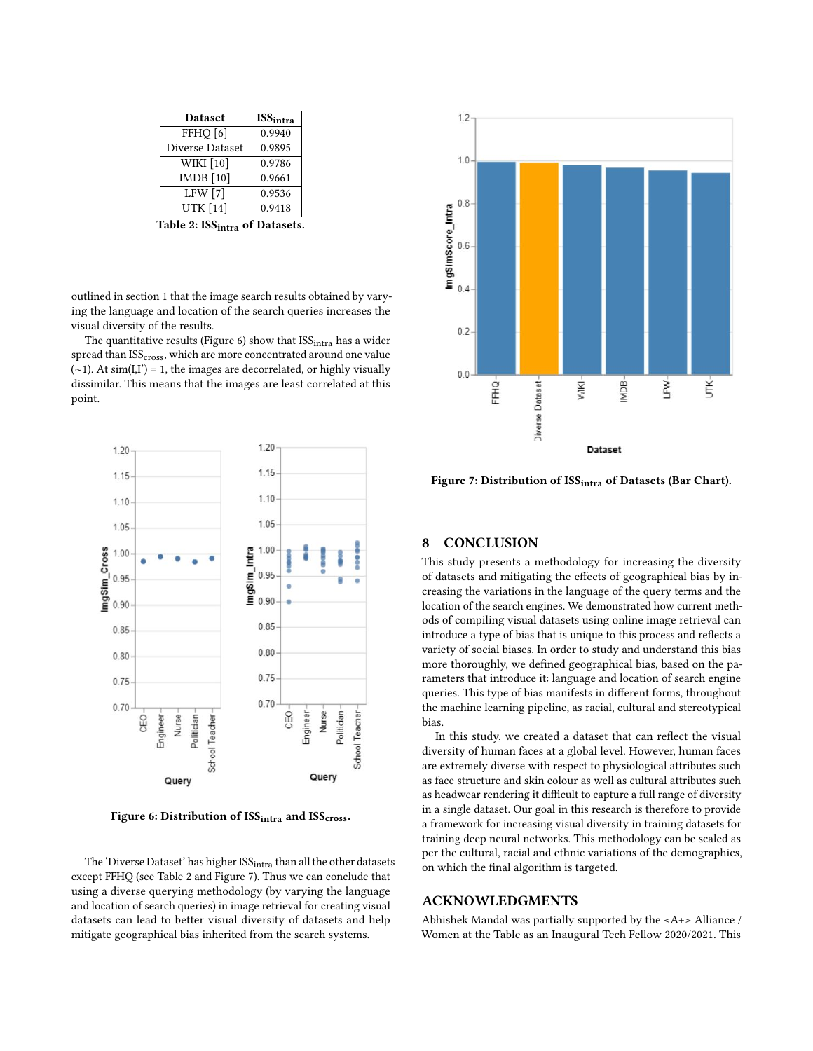<span id="page-5-0"></span>

| <b>Dataset</b>                | <b>ISS</b> intra |  |
|-------------------------------|------------------|--|
| FFHQ [6]                      | 0.9940           |  |
| Diverse Dataset               | 0.9895           |  |
| <b>WIKI</b> [10]              | 0.9786           |  |
| $\overline{\text{IMDB}}$ [10] | 0.9661           |  |
| LFW [7]                       | 0.9536           |  |
| <b>UTK</b> [14]               | 0.9418           |  |
|                               |                  |  |

Table 2: ISS<sub>intra</sub> of Datasets.

outlined in section 1 that the image search results obtained by varying the language and location of the search queries increases the visual diversity of the results.

The quantitative results (Figure [6\)](#page-5-1) show that  $ISS<sub>intra</sub>$  has a wider spread than ISS<sub>cross</sub>, which are more concentrated around one value  $(\sim 1)$ . At sim(I,I') = 1, the images are decorrelated, or highly visually dissimilar. This means that the images are least correlated at this point.

<span id="page-5-1"></span>

Figure 6: Distribution of ISS<sub>intra</sub> and ISS<sub>cross</sub>.

The 'Diverse Dataset' has higher ISS<sub>intra</sub> than all the other datasets except FFHQ (see Table [2](#page-5-0) and Figure [7\)](#page-5-2). Thus we can conclude that using a diverse querying methodology (by varying the language and location of search queries) in image retrieval for creating visual datasets can lead to better visual diversity of datasets and help mitigate geographical bias inherited from the search systems.

<span id="page-5-2"></span>

Figure 7: Distribution of ISS<sub>intra</sub> of Datasets (Bar Chart).

#### 8 CONCLUSION

This study presents a methodology for increasing the diversity of datasets and mitigating the effects of geographical bias by increasing the variations in the language of the query terms and the location of the search engines. We demonstrated how current methods of compiling visual datasets using online image retrieval can introduce a type of bias that is unique to this process and reflects a variety of social biases. In order to study and understand this bias more thoroughly, we defined geographical bias, based on the parameters that introduce it: language and location of search engine queries. This type of bias manifests in different forms, throughout the machine learning pipeline, as racial, cultural and stereotypical bias.

In this study, we created a dataset that can reflect the visual diversity of human faces at a global level. However, human faces are extremely diverse with respect to physiological attributes such as face structure and skin colour as well as cultural attributes such as headwear rendering it difficult to capture a full range of diversity in a single dataset. Our goal in this research is therefore to provide a framework for increasing visual diversity in training datasets for training deep neural networks. This methodology can be scaled as per the cultural, racial and ethnic variations of the demographics, on which the final algorithm is targeted.

#### ACKNOWLEDGMENTS

Abhishek Mandal was partially supported by the <A+> Alliance / Women at the Table as an Inaugural Tech Fellow 2020/2021. This